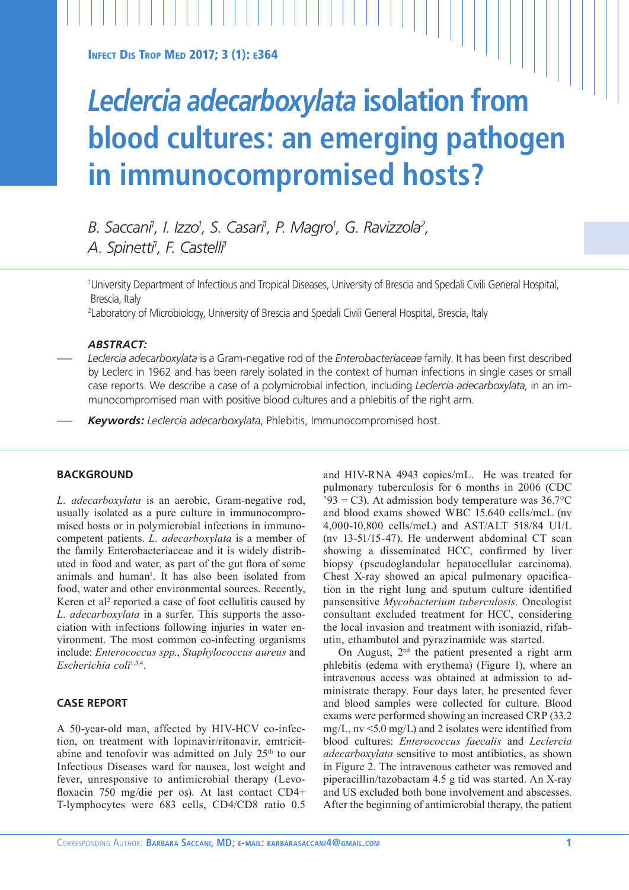**INFECT DIS TROP MED 2017: 3 (1): E364** 

# *Leclercia adecarboxylata* **isolation from blood cultures: an emerging pathogen in immunocompromised hosts?**

*B. Saccani<sup>1</sup>, I. Izzo<sup>1</sup>, S. Casari<sup>1</sup>, P. Magro<sup>1</sup>, G. Ravizzola<sup>2</sup>, A. Spinetti1 , F. Castelli1*

1 University Department of Infectious and Tropical Diseases, University of Brescia and Spedali Civili General Hospital, Brescia, Italy

2 Laboratory of Microbiology, University of Brescia and Spedali Civili General Hospital, Brescia, Italy

## *ABSTRACT:*

- *Leclercia adecarboxylata* is a Gram-negative rod of the *Enterobacteriaceae* family. It has been first described by Leclerc in 1962 and has been rarely isolated in the context of human infections in single cases or small case reports. We describe a case of a polymicrobial infection, including *Leclercia adecarboxylata*, in an immunocompromised man with positive blood cultures and a phlebitis of the right arm.
- *Keywords: Leclercia adecarboxylata*, Phlebitis, Immunocompromised host.

### **BACKGROUND**

*L. adecarboxylata* is an aerobic, Gram-negative rod, usually isolated as a pure culture in immunocompromised hosts or in polymicrobial infections in immunocompetent patients. *L. adecarboxylata* is a member of the family Enterobacteriaceae and it is widely distributed in food and water, as part of the gut flora of some animals and human<sup>1</sup>. It has also been isolated from food, water and other environmental sources. Recently, Keren et al<sup>2</sup> reported a case of foot cellulitis caused by *L. adecarboxylata* in a surfer. This supports the association with infections following injuries in water environment. The most common co-infecting organisms include: *Enterococcus spp*., *Staphylococcus aureus* and *Escherichia coli*1,3,4.

#### **CASE REPORT**

A 50-year-old man, affected by HIV-HCV co-infection, on treatment with lopinavir/ritonavir, emtricitabine and tenofovir was admitted on July 25th to our Infectious Diseases ward for nausea, lost weight and fever, unresponsive to antimicrobial therapy (Levofloxacin 750 mg/die per os). At last contact CD4+ T-lymphocytes were 683 cells, CD4/CD8 ratio 0.5 and HIV-RNA 4943 copies/mL. He was treated for pulmonary tuberculosis for 6 months in 2006 (CDC '93 = C3). At admission body temperature was  $36.7^{\circ}$ C and blood exams showed WBC 15.640 cells/mcL (nv 4,000-10,800 cells/mcL) and AST/ALT 518/84 UI/L (nv 13-51/15-47). He underwent abdominal CT scan showing a disseminated HCC, confirmed by liver biopsy (pseudoglandular hepatocellular carcinoma). Chest X-ray showed an apical pulmonary opacification in the right lung and sputum culture identified pansensitive *Mycobacterium tuberculosis.* Oncologist consultant excluded treatment for HCC, considering the local invasion and treatment with isoniazid, rifabutin, ethambutol and pyrazinamide was started.

On August, 2nd the patient presented a right arm phlebitis (edema with erythema) (Figure 1), where an intravenous access was obtained at admission to administrate therapy. Four days later, he presented fever and blood samples were collected for culture. Blood exams were performed showing an increased CRP (33.2 mg/L, nv <5.0 mg/L) and 2 isolates were identified from blood cultures: *Enterococcus faecalis* and *Leclercia adecarboxylata* sensitive to most antibiotics, as shown in Figure 2. The intravenous catheter was removed and piperacillin/tazobactam 4.5 g tid was started. An X-ray and US excluded both bone involvement and abscesses. After the beginning of antimicrobial therapy, the patient